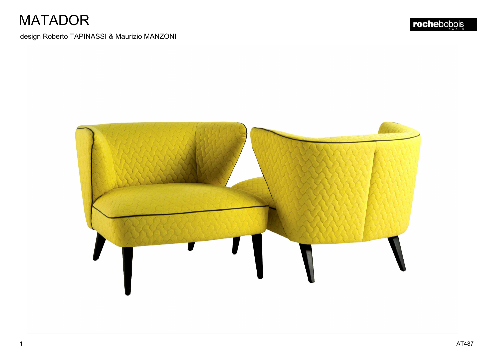# **MATADOR**

## design Roberto TAPINASSI & Maurizio MANZONI

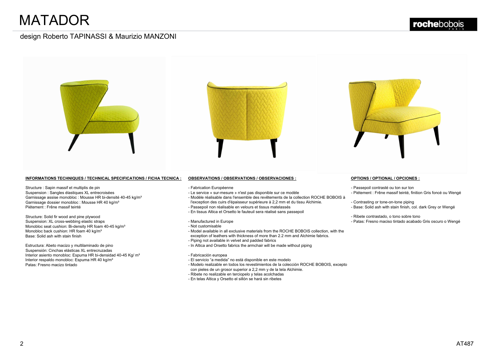

Structure : Sapin massif et multiplis de pin<br>Suspension : Sangles élastiques XL entrecroisées<br>Garnissage assise monobloc : Mousse HR bi-densité 40-45 kg/m<sup>3</sup> INFORMATIONS TECHNIQUES / TECHNICAL SPE<br>Structure : Sapin massif et multiplis de pin<br>Suspension : Sangles élastiques XL entrecroisées<br>Gamissage assise monobloc : Mousse HR bi-densité<br>Piétement : Frêne massif teinté Structure : Sapin massif et multiplis de pine<br>Suspension : Sangles élastiques XL entre<br>Gamissage assise monobloc : Mousse H<br>Gamissage dossier monobloc : Mousse H<br>Piétement : Frêne massif teinté<br>Structure: Solid fir wood an Suspension : Sangles élastiques XL entrecro<br>Garnissage assise monobloc : Mousse HR b<br>Garnissage dossier monobloc : Mousse HR 4<br>Piétement : Frêne massif teinté<br>Structure: Solid fir wood and pine plywood<br>Suspension: XL cross

Piétement : Frêne massif teinté<br>Structure: Solid fir wood and pine plywood<br>Suspension: XL cross-webbing elastic straps<br>Monobloc seat cushion: Bi-density HR foam 40-45 kg/mª<br>Monobloc back cushion: HR foam 40 kg/mª<br>Base: Sol Garnissage dossier monobloc : Mousse HF<br>Piétement : Frêne massif teinté<br>Structure: Solid fir wood and pine plywood<br>Suspension: XL cross-webbing elastic straf<br>Monobloc seat cushion: Bi-density HR foam<br>Monobloc back cushion: Suspension: XL cross-webbing elastic straps<br>Monobloc seat cushion: Bi-density HR foam 40-4<br>Monobloc back cushion: HR foam 40 kg/m<sup>3</sup><br>Base: Solid ash with stain finish<br>Estructura: Abeto macizo y multilaminado de pin<br>Suspens

Base: Solid ash with stain finish<br>
Estructura: Abeto macizo y multilaminado de pino<br>
Suspensión: Cinchas elásticas XL entrecruzadas<br>
Interior asiento monobloc: Espuma HR bi-densidad 40-45 Kg/ mª<br>
Interior respaldo monobloc Estructura: Abeto macizo y multilaminado de pino<br>Suspensión: Cinchas elásticas XL entrecruzadas<br>Interior asiento monobloc: Espuma HR bi-densida<br>Interior respaldo monobloc: Espuma HR 40 kg/mª<br>Patas: Fresno macizo tintado

- 
- 
- 
- 
- 
- 
- 
- 
- 
- 
- 
- 
- 
- Piping not available in velvet and padded fabrics<br>
 In Altica and Orsetto fabrics the armchair will be made without piping<br>
 Fabricación europea<br>
 El servicio "a medida" no està disponible en este modelo<br>
 Modelo rea
- 
- 
- 

- 
- 
- 
- 
- 
-